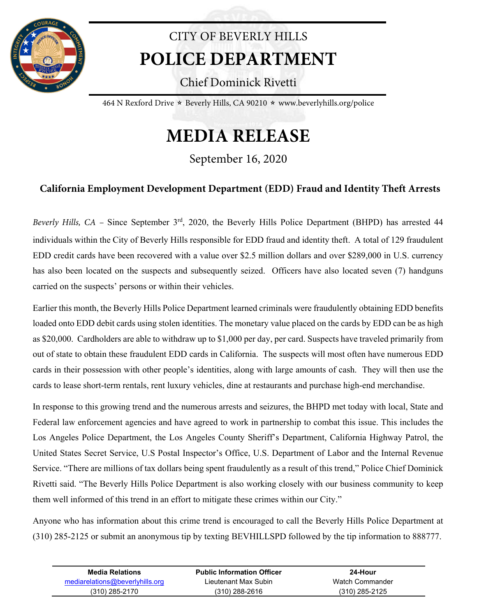

## CITY OF BEVERLY HILLS **POLICE DEPARTMENT**

Chief Dominick Rivetti

464 N Rexford Drive  $\star$  Beverly Hills, CA 90210  $\star$  www.beverlyhills.org/police

## **MEDIA RELEASE**

September 16, 2020

## **California Employment Development Department (EDD) Fraud and Identity Theft Arrests**

*Beverly Hills, CA* – Since September 3<sup>rd</sup>, 2020, the Beverly Hills Police Department (BHPD) has arrested 44 individuals within the City of Beverly Hills responsible for EDD fraud and identity theft. A total of 129 fraudulent EDD credit cards have been recovered with a value over \$2.5 million dollars and over \$289,000 in U.S. currency has also been located on the suspects and subsequently seized. Officers have also located seven (7) handguns carried on the suspects' persons or within their vehicles.

Earlier this month, the Beverly Hills Police Department learned criminals were fraudulently obtaining EDD benefits loaded onto EDD debit cards using stolen identities. The monetary value placed on the cards by EDD can be as high as \$20,000. Cardholders are able to withdraw up to \$1,000 per day, per card. Suspects have traveled primarily from out of state to obtain these fraudulent EDD cards in California. The suspects will most often have numerous EDD cards in their possession with other people's identities, along with large amounts of cash. They will then use the cards to lease short-term rentals, rent luxury vehicles, dine at restaurants and purchase high-end merchandise.

In response to this growing trend and the numerous arrests and seizures, the BHPD met today with local, State and Federal law enforcement agencies and have agreed to work in partnership to combat this issue. This includes the Los Angeles Police Department, the Los Angeles County Sheriff's Department, California Highway Patrol, the United States Secret Service, U.S Postal Inspector's Office, U.S. Department of Labor and the Internal Revenue Service. "There are millions of tax dollars being spent fraudulently as a result of this trend," Police Chief Dominick Rivetti said. "The Beverly Hills Police Department is also working closely with our business community to keep them well informed of this trend in an effort to mitigate these crimes within our City."

Anyone who has information about this crime trend is encouraged to call the Beverly Hills Police Department at (310) 285-2125 or submit an anonymous tip by texting BEVHILLSPD followed by the tip information to 888777.

| Media Relations                 | <b>Public Information Officer</b> | 24-Hour          |  |
|---------------------------------|-----------------------------------|------------------|--|
| mediarelations@beverlyhills.org | Lieutenant Max Subin              | Watch Commander  |  |
| (310) 285-2170                  | $(310)$ 288-2616                  | $(310)$ 285-2125 |  |